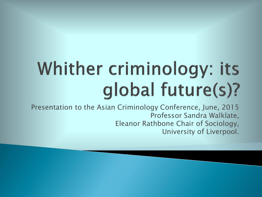# Whither criminology: its global future(s)?

Presentation to the Asian Criminology Conference, June, 2015 Professor Sandra Walklate, Eleanor Rathbone Chair of Sociology, University of Liverpool.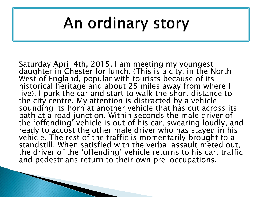#### An ordinary story

Saturday April 4th, 2015. I am meeting my youngest daughter in Chester for lunch. (This is a city, in the North West of England, popular with tourists because of its historical heritage and about 25 miles away from where I live). I park the car and start to walk the short distance to the city centre. My attention is distracted by a vehicle sounding its horn at another vehicle that has cut across its path at a road junction. Within seconds the male driver of the 'offending' vehicle is out of his car, swearing loudly, and ready to accost the other male driver who has stayed in his vehicle. The rest of the traffic is momentarily brought to a standstill. When satisfied with the verbal assault meted out, the driver of the 'offending' vehicle returns to his car: traffic and pedestrians return to their own pre-occupations.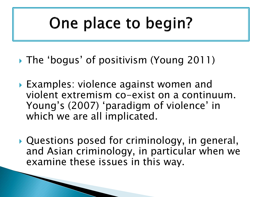#### One place to begin?

- The 'bogus' of positivism (Young 2011)
- ▶ Examples: violence against women and violent extremism co-exist on a continuum. Young's (2007) 'paradigm of violence' in which we are all implicated.
- Questions posed for criminology, in general, and Asian criminology, in particular when we examine these issues in this way.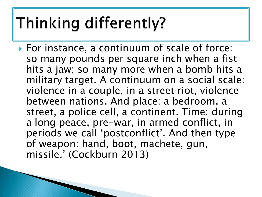## Thinking differently?

▶ For instance, a continuum of scale of force: so many pounds per square inch when a fist hits a jaw; so many more when a bomb hits a military target. A continuum on a social scale: violence in a couple, in a street riot, violence between nations. And place: a bedroom, a street, a police cell, a continent. Time: during a long peace, pre-war, in armed conflict, in periods we call 'postconflict'. And then type of weapon: hand, boot, machete, gun, missile.' (Cockburn 2013)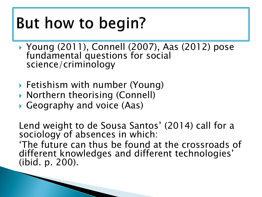### But how to begin?

- Young (2011), Connell (2007), Aas (2012) pose fundamental questions for social science/criminology
- Fetishism with number (Young)
- ▶ Northern theorising (Connell)
- Geography and voice (Aas)

Lend weight to de Sousa Santos' (2014) call for a sociology of absences in which: 'The future can thus be found at the crossroads of different knowledges and different technologies' (ibid. p. 200).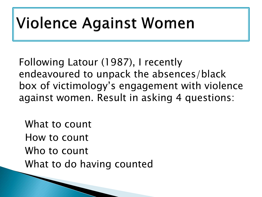#### **Violence Against Women**

Following Latour (1987), I recently endeavoured to unpack the absences/black box of victimology's engagement with violence against women. Result in asking 4 questions:

 What to count How to count Who to count What to do having counted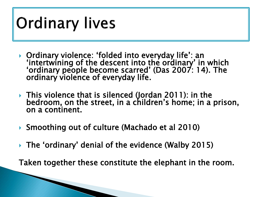## **Ordinary lives**

- Ordinary violence: 'folded into everyday life': an 'intertwining of the descent into the ordinary' in which 'ordinary people become scarred' (Das 2007: 14). The ordinary violence of everyday life.
- ▶ This violence that is silenced (Jordan 2011): in the bedroom, on the street, in a children's home; in a prison, on a continent.
- ▶ Smoothing out of culture (Machado et al 2010)
- The 'ordinary' denial of the evidence (Walby 2015)

Taken together these constitute the elephant in the room.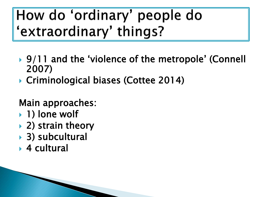#### How do 'ordinary' people do 'extraordinary' things?

- ▶ 9/11 and the 'violence of the metropole' (Connell 2007)
- ▶ Criminological biases (Cottee 2014)

Main approaches:

- ▶ 1) lone wolf
- **▶ 2) strain theory**
- ▶ 3) subcultural
- ▶ 4 cultural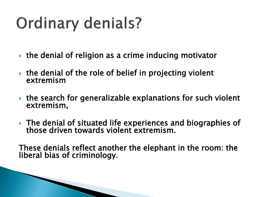# **Ordinary denials?**

- $\triangleright$  the denial of religion as a crime inducing motivator
- $\triangleright$  the denial of the role of belief in projecting violent extremism
- $\triangleright$  the search for generalizable explanations for such violent extremism,
- ▶ The denial of situated life experiences and biographies of those driven towards violent extremism.

These denials reflect another the elephant in the room: the liberal bias of criminology.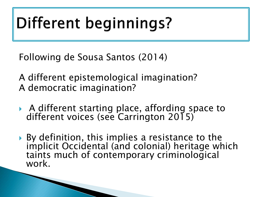# Different beginnings?

Following de Sousa Santos (2014)

A different epistemological imagination? A democratic imagination?

- A different starting place, affording space to different voices (see Carrington 2015)
- ▶ By definition, this implies a resistance to the implicit Occidental (and colonial) heritage which taints much of contemporary criminological work.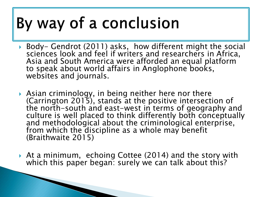### By way of a conclusion

- ▶ Body- Gendrot (2011) asks, how different might the social sciences look and feel if writers and researchers in Africa, Asia and South America were afforded an equal platform to speak about world affairs in Anglophone books, websites and journals.
- Asian criminology, in being neither here nor there (Carrington 2015), stands at the positive intersection of the north-south and east-west in terms of geography and culture is well placed to think differently both conceptually and methodological about the criminological enterprise, from which the discipline as a whole may benefit (Braithwaite 2015)
- At a minimum, echoing Cottee (2014) and the story with which this paper began: surely we can talk about this?